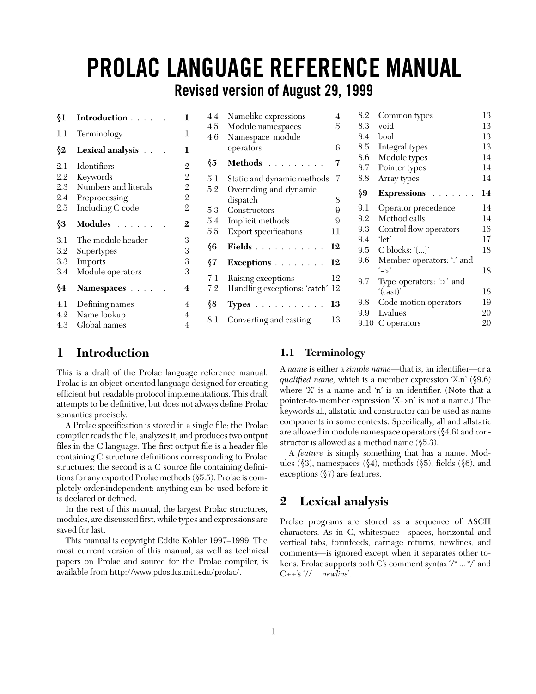# **PROLAC LANGUAGE REFERENCE MANUAL**

**Revised version of August 29, 1999**

| §1  | <b>Introduction</b>  | 1              | 4.4<br>4.5    | Namelike expressions<br>Module namespaces | 4<br>5 |
|-----|----------------------|----------------|---------------|-------------------------------------------|--------|
| 1.1 | Terminology          | 1              | 4.6           | Namespace module                          |        |
| §2  | Lexical analysis     | 1              |               | operators                                 | 6      |
| 2.1 | Identifiers          | $\mathbf{2}$   | $\sqrt[6]{5}$ | Methods                                   | 7      |
| 2.2 | Keywords             | 2              | $5.1\,$       | Static and dynamic methods                | -7     |
| 2.3 | Numbers and literals | 2              | 5.2           | Overriding and dynamic                    |        |
| 2.4 | Preprocessing        | $\mathbf{2}$   |               | dispatch                                  | 8      |
| 2.5 | Including C code     | $\mathfrak{2}$ | 5.3           | Constructors                              | 9      |
| ∮3  | Modules              | $\mathbf{2}$   | 5.4           | Implicit methods                          | 9      |
|     |                      |                | $5.5\,$       | Export specifications                     | 11     |
| 3.1 | The module header    | 3              | §6            |                                           |        |
| 3.2 | Supertypes           | 3              |               | Fields 12                                 |        |
| 3.3 | Imports              | 3              | §7            | Exceptions 12                             |        |
| 3.4 | Module operators     | 3              | 7.1           | Raising exceptions                        | 12     |
| §4  | Namespaces           | 4              | 7.2           | Handling exceptions: 'catch' 12           |        |
| 4.1 | Defining names       | 4              | §8            | Types 13                                  |        |
| 4.2 | Name lookup          | 4              | 8.1           |                                           | 13     |
| 4.3 | Global names         | 4              |               | Converting and casting                    |        |

| 8.2  | Common types              | 13 |
|------|---------------------------|----|
| 8.3  | void                      | 13 |
| 8.4  | bool                      | 13 |
| 8.5  | Integral types            | 13 |
| 8.6  | Module types              | 14 |
| 8.7  | Pointer types             | 14 |
| 8.8  | Array types               | 14 |
| §9   | <b>Expressions</b>        | 14 |
| 9.1  | Operator precedence       | 14 |
| 9.2  | Method calls              | 14 |
| 9.3  | Control flow operators    | 16 |
| 9.4  | 'let'                     | 17 |
| 9.5  | C blocks: $\{\}$          | 18 |
| 9.6  | Member operators: '.' and |    |
|      | $\sim$                    | 18 |
| 9.7  | Type operators: ':>' and  |    |
|      | '(cast)'                  | 18 |
| 9.8  | Code motion operators     | 19 |
| 9.9  | Lyalues                   | 20 |
| 9.10 | C operators               | 20 |
|      |                           |    |

# **1 Introduction**

This is a draft of the Prolac language reference manual. Prolac is an object-oriented language designed for creating efficient but readable protocol implementations. This draft attempts to be definitive, but does not always define Prolac semantics precisely.

A Prolac specification is stored in a single file; the Prolac compiler reads the file, analyzes it, and produces two output files in the C language. The first output file is a header file containing C structure definitions corresponding to Prolac structures; the second is a C source file containing definitions for any exported Prolac methods (§5.5). Prolac is completely order-independent: anything can be used before it is declared or defined.

In the rest of this manual, the largest Prolac structures, modules, are discussed first, while types and expressions are saved for last.

This manual is copyright Eddie Kohler 1997–1999. The most current version of this manual, as well as technical papers on Prolac and source for the Prolac compiler, is available from http://www.pdos.lcs.mit.edu/prolac/.

# **1.1 Terminology**

A *name* is either a *simple name*—that is, an identifier—or a *qualified name,* which is a member expression 'X.n' (§9.6) where 'X' is a name and 'n' is an identifier. (Note that a pointer-to-member expression 'X−>n' is not a name.) The keywords all, allstatic and constructor can be used as name components in some contexts. Specifically, all and allstatic are allowed in module namespace operators (§4.6) and constructor is allowed as a method name (§5.3).

A *feature* is simply something that has a name. Modules (§3), namespaces (§4), methods (§5), fields (§6), and exceptions (§7) are features.

# **2 Lexical analysis**

Prolac programs are stored as a sequence of ASCII characters. As in C, whitespace—spaces, horizontal and vertical tabs, formfeeds, carriage returns, newlines, and comments—is ignored except when it separates other tokens. Prolac supports both C's comment syntax '/\* ... \*/' and C++'s '// ... *newline*'.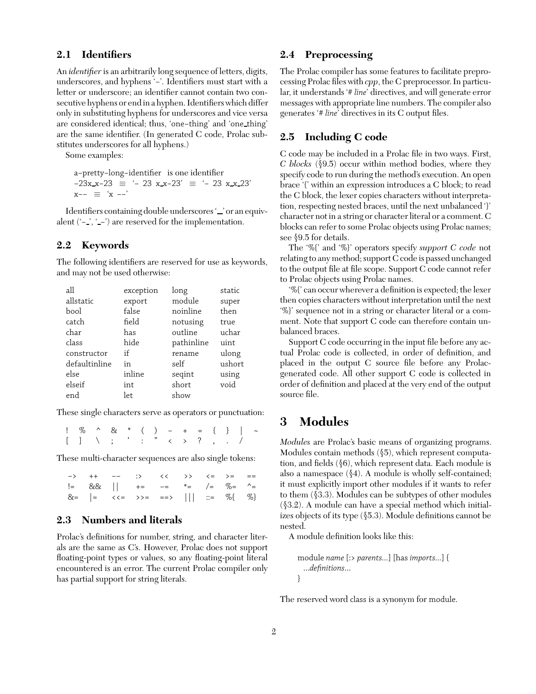# **2.1 Identifiers**

An *identifier* is an arbitrarily long sequence of letters, digits, underscores, and hyphens '−'. Identifiers must start with a letter or underscore; an identifier cannot contain two consecutive hyphens or end in a hyphen. Identifiers which differ only in substituting hyphens for underscores and vice versa are considered identical; thus, 'one−thing' and 'one thing' are the same identifier. (In generated C code, Prolac substitutes underscores for all hyphens.)

Some examples:

a−pretty−long−identifier is one identifier −23x x−23 ≡ '− 23 x x−23' ≡ '− 23 x x 23' x−− ≡ 'x −−'

Identifiers containing double underscores '\_' or an equivalent ('− ', ' −') are reserved for the implementation.

# **2.2 Keywords**

The following identifiers are reserved for use as keywords, and may not be used otherwise:

| all           | exception | long       | static |
|---------------|-----------|------------|--------|
| allstatic     | export    | module     | super  |
| bool          | false     | noinline   | then   |
| catch         | field     | notusing   | true   |
| char          | has       | outline    | uchar  |
| class         | hide      | pathinline | uint   |
| constructor   | if        | rename     | ulong  |
| defaultinline | in        | self       | ushort |
| else          | inline    | segint     | using  |
| elseif        | int       | short      | void   |
| end           | let       | show       |        |

These single characters serve as operators or punctuation:

!%^& \* ()−+={}|~ [] \ ; ' :"<>? ,./

These multi-character sequences are also single tokens:

|  | $-\rangle$ ++ -- :> << >> <= >= ==                                                              |  |  |  |
|--|-------------------------------------------------------------------------------------------------|--|--|--|
|  | $!=\&\&\&\;  $ += -= *= /= %= ^=                                                                |  |  |  |
|  | $8z =   = \langle \langle = \rangle \rangle = == \rangle     \langle = \% \langle = \% \rangle$ |  |  |  |

# **2.3 Numbers and literals**

Prolac's definitions for number, string, and character literals are the same as C's. However, Prolac does not support floating-point types or values, so any floating-point literal encountered is an error. The current Prolac compiler only has partial support for string literals.

#### **2.4 Preprocessing**

The Prolac compiler has some features to facilitate preprocessing Prolac files with *cpp*, the C preprocessor. In particular, it understands '# *line*' directives, and will generate error messages with appropriate line numbers. The compiler also generates '# *line*' directives in its C output files.

# **2.5 Including C code**

C code may be included in a Prolac file in two ways. First, *C blocks* (§9.5) occur within method bodies, where they specify code to run during the method's execution. An open brace '{' within an expression introduces a C block; to read the C block, the lexer copies characters without interpretation, respecting nested braces, until the next unbalanced '}' character not in a string or character literal or a comment. C blocks can refer to some Prolac objects using Prolac names; see §9.5 for details.

The '%{' and '%}' operators specify *support C code* not relating to any method; support C code is passed unchanged to the output file at file scope. Support C code cannot refer to Prolac objects using Prolac names.

'%{' can occur wherever a definition is expected; the lexer then copies characters without interpretation until the next '%}' sequence not in a string or character literal or a comment. Note that support C code can therefore contain unbalanced braces.

Support C code occurring in the input file before any actual Prolac code is collected, in order of definition, and placed in the output C source file before any Prolacgenerated code. All other support C code is collected in order of definition and placed at the very end of the output source file.

# **3 Modules**

*Modules* are Prolac's basic means of organizing programs. Modules contain methods (§5), which represent computation, and fields (§6), which represent data. Each module is also a namespace (§4). A module is wholly self-contained; it must explicitly import other modules if it wants to refer to them (§3.3). Modules can be subtypes of other modules (§3.2). A module can have a special method which initializes objects of its type (§5.3). Module definitions cannot be nested.

A module definition looks like this:

```
module name [:> parents...] [has imports...] {
  ...definitions...
}
```
The reserved word class is a synonym for module.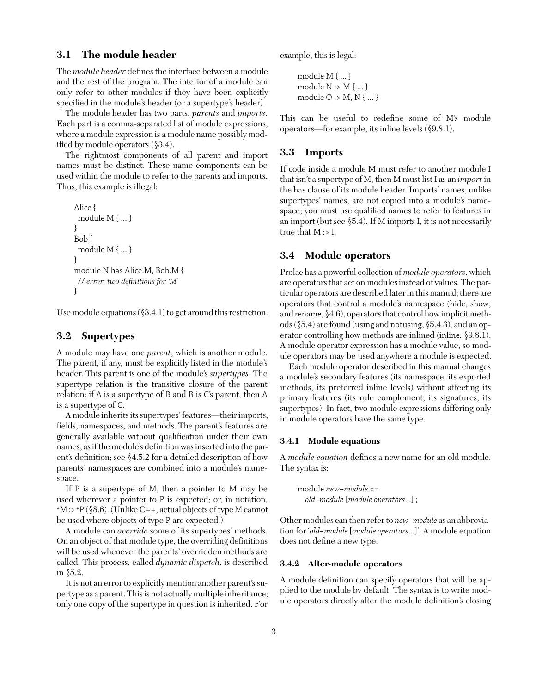# **3.1 The module header**

The *module header* defines the interface between a module and the rest of the program. The interior of a module can only refer to other modules if they have been explicitly specified in the module's header (or a supertype's header).

The module header has two parts, *parents* and *imports*. Each part is a comma-separated list of module expressions, where a module expression is a module name possibly modified by module operators (§3.4).

The rightmost components of all parent and import names must be distinct. These name components can be used within the module to refer to the parents and imports. Thus, this example is illegal:

```
Alice {
 module M { ... }
}
Bob {
 module M { ... }
}
module N has Alice.M, Bob.M {
 // error: two definitions for 'M'
}
```
Use module equations  $(\$3.4.1)$  to get around this restriction.

# **3.2 Supertypes**

A module may have one *parent*, which is another module. The parent, if any, must be explicitly listed in the module's header. This parent is one of the module's *supertypes*. The supertype relation is the transitive closure of the parent relation: if A is a supertype of B and B is C's parent, then A is a supertype of C.

A module inherits its supertypes' features—their imports, fields, namespaces, and methods. The parent's features are generally available without qualification under their own names, as if the module's definition was inserted into the parent's definition; see §4.5.2 for a detailed description of how parents' namespaces are combined into a module's namespace.

If P is a supertype of M, then a pointer to M may be used wherever a pointer to P is expected; or, in notation,  $*M$ : >  $*P$  (§8.6). (Unlike C++, actual objects of type M cannot be used where objects of type P are expected.)

A module can *override* some of its supertypes' methods. On an object of that module type, the overriding definitions will be used whenever the parents' overridden methods are called. This process, called *dynamic dispatch*, is described in §5.2.

It is not an error to explicitly mention another parent's supertype as a parent. This is not actually multiple inheritance; only one copy of the supertype in question is inherited. For example, this is legal:

```
module M { ... }
module N :> M { ... }
module O :> M, N { ... }
```
This can be useful to redefine some of M's module operators—for example, its inline levels (§9.8.1).

## **3.3 Imports**

If code inside a module M must refer to another module I that isn't a supertype of M, then M must list I as an *import* in the has clause of its module header. Imports' names, unlike supertypes' names, are not copied into a module's namespace; you must use qualified names to refer to features in an import (but see  $\S$ 5.4). If M imports I, it is not necessarily true that M :> I.

# **3.4 Module operators**

Prolac has a powerful collection of *module operators*, which are operators that act on modules instead of values. The particular operators are described later in this manual; there are operators that control a module's namespace (hide, show, and rename, §4.6), operators that control how implicit methods (§5.4) are found (using and notusing, §5.4.3), and an operator controlling how methods are inlined (inline, §9.8.1). A module operator expression has a module value, so module operators may be used anywhere a module is expected.

Each module operator described in this manual changes a module's secondary features (its namespace, its exported methods, its preferred inline levels) without affecting its primary features (its rule complement, its signatures, its supertypes). In fact, two module expressions differing only in module operators have the same type.

#### **3.4.1 Module equations**

A *module equation* defines a new name for an old module. The syntax is:

module *new−module* ::= *old−module* [*module operators*...] ;

Other modules can then refer to *new−module* as an abbreviation for '*old−module*[*module operators*...]'. A module equation does not define a new type.

#### **3.4.2 After-module operators**

A module definition can specify operators that will be applied to the module by default. The syntax is to write module operators directly after the module definition's closing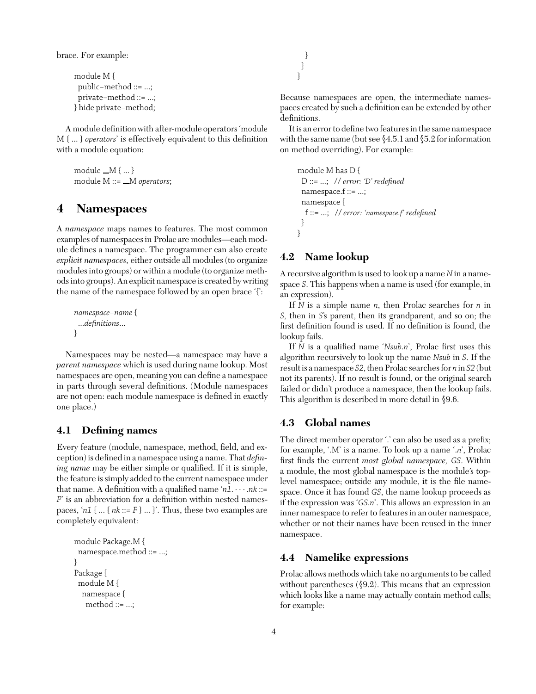brace. For example:

```
module M {
 public−method ::= ...;
 private−method ::= ...;
} hide private−method;
```
A module definition with after-module operators 'module M { ... } *operators*' is effectively equivalent to this definition with a module equation:

module  $_M \{ ... \}$ module M ::= \_M operators;

# **4 Namespaces**

A *namespace* maps names to features. The most common examples of namespaces in Prolac are modules—each module defines a namespace. The programmer can also create *explicit namespaces,* either outside all modules (to organize modules into groups) or within a module (to organize methods into groups). An explicit namespace is created by writing the name of the namespace followed by an open brace '{':

```
namespace−name {
 ...definitions...
}
```
Namespaces may be nested—a namespace may have a *parent namespace* which is used during name lookup. Most namespaces are open, meaning you can define a namespace in parts through several definitions. (Module namespaces are not open: each module namespace is defined in exactly one place.)

# **4.1 Defining names**

Every feature (module, namespace, method, field, and exception) is defined in a namespace using a name. That *defining name* may be either simple or qualified. If it is simple, the feature is simply added to the current namespace under that name. A definition with a qualified name '*n1*. ··· .*nk* ::= *F*' is an abbreviation for a definition within nested namespaces, ' $n1$  { ... { $nk ::= F$  } ... }'. Thus, these two examples are completely equivalent:

```
module Package.M {
 namespace.method ::= ...;
}
Package {
 module M {
  namespace {
   method ::= ...;
```
} }

}

Because namespaces are open, the intermediate namespaces created by such a definition can be extended by other definitions.

It is an error to define two features in the same namespace with the same name (but see §4.5.1 and §5.2 for information on method overriding). For example:

```
module M has D {
 D ::= ...; // error: 'D' redefined
 namespace.f ::= ...;
 namespace {
  f ::= ...; // error: 'namespace.f' redefined
 }
}
```
# **4.2 Name lookup**

A recursive algorithm is used to look up a name*N*in a namespace *S*. This happens when a name is used (for example, in an expression).

If *N* is a simple name *n*, then Prolac searches for *n* in *S*, then in *S*'s parent, then its grandparent, and so on; the first definition found is used. If no definition is found, the lookup fails.

If *N* is a qualified name '*Nsub*.*n*', Prolac first uses this algorithm recursively to look up the name *Nsub* in *S*. If the result is a namespace *S2*, then Prolac searches for *n* in *S2* (but not its parents). If no result is found, or the original search failed or didn't produce a namespace, then the lookup fails. This algorithm is described in more detail in §9.6.

# **4.3 Global names**

The direct member operator '.' can also be used as a prefix; for example, '.M' is a name. To look up a name '.*n*', Prolac first finds the current *most global namespace, GS*. Within a module, the most global namespace is the module's toplevel namespace; outside any module, it is the file namespace. Once it has found *GS*, the name lookup proceeds as if the expression was '*GS*.*n*'. This allows an expression in an inner namespace to refer to features in an outer namespace, whether or not their names have been reused in the inner namespace.

# **4.4 Namelike expressions**

Prolac allows methods which take no arguments to be called without parentheses (§9.2). This means that an expression which looks like a name may actually contain method calls; for example: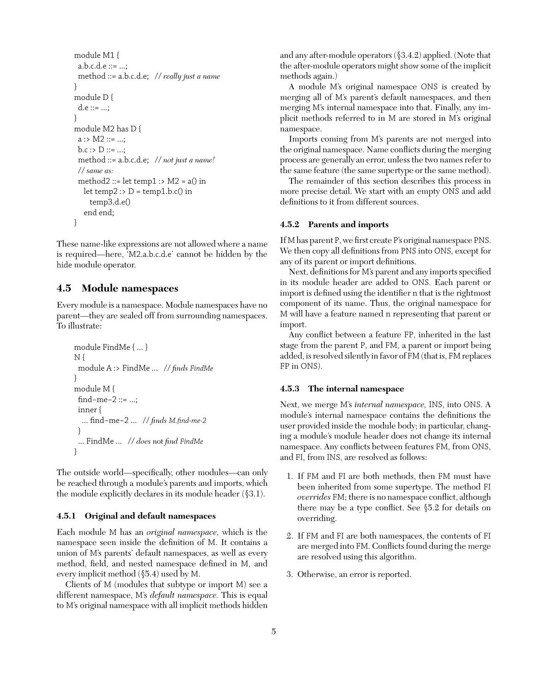```
module M1 {
 a.b.c.d.e ::= ...;
 method ::= a.b.c.d.e; // really just a name
}
module D {
 d.e ::= ...;
}
module M2 has D {
 a : > M2 :: = ...;b.c : D ::= ...;method ::= a.b.c.d.e; // not just a name!
 // same as:
 method2 ::= let temp1 :> M2 = a() in
  let temp2: D = temp1.b.c() in
    temp3.d.e()
   end end;
}
```
These name-like expressions are not allowed where a name is required—here, 'M2.a.b.c.d.e' cannot be hidden by the hide module operator.

# **4.5 Module namespaces**

Every module is a namespace. Module namespaces have no parent—they are sealed off from surrounding namespaces. To illustrate:

```
module FindMe { ... }
N {
 module A :> FindMe ... // finds FindMe
}
module M {
 find−me−2 ::= ...;
 inner {
  ... find−me−2 ... // finds M.find-me-2
 }
 ... FindMe ... // does not find FindMe
}
```
The outside world—specifically, other modules—can only be reached through a module's parents and imports, which the module explicitly declares in its module header (§3.1).

#### **4.5.1 Original and default namespaces**

Each module M has an *original namespace,* which is the namespace seen inside the definition of M. It contains a union of M's parents' default namespaces, as well as every method, field, and nested namespace defined in M, and every implicit method (§5.4) used by M.

Clients of M (modules that subtype or import M) see a different namespace, M's *default namespace.* This is equal to M's original namespace with all implicit methods hidden and any after-module operators (§3.4.2) applied. (Note that the after-module operators might show some of the implicit methods again.)

A module M's original namespace ONS is created by merging all of M's parent's default namespaces, and then merging M's internal namespace into that. Finally, any implicit methods referred to in M are stored in M's original namespace.

Imports coming from M's parents are not merged into the original namespace. Name conflicts during the merging process are generally an error, unless the two names refer to the same feature (the same supertype or the same method).

The remainder of this section describes this process in more precise detail. We start with an empty ONS and add definitions to it from different sources.

#### **4.5.2 Parents and imports**

If M has parent P, we first create P's original namespace PNS. We then copy all definitions from PNS into ONS, except for any of its parent or import definitions.

Next, definitions for M's parent and any imports specified in its module header are added to ONS. Each parent or import is defined using the identifier n that is the rightmost component of its name. Thus, the original namespace for M will have a feature named n representing that parent or import.

Any conflict between a feature FP, inherited in the last stage from the parent P, and FM, a parent or import being added, is resolved silently in favor of FM (that is, FM replaces FP in ONS).

#### **4.5.3 The internal namespace**

Next, we merge M's *internal namespace,* INS, into ONS. A module's internal namespace contains the definitions the user provided inside the module body; in particular, changing a module's module header does not change its internal namespace. Any conflicts between features FM, from ONS, and FI, from INS, are resolved as follows:

- 1. If FM and FI are both methods, then FM must have been inherited from some supertype. The method FI *overrides* FM; there is no namespace conflict, although there may be a type conflict. See §5.2 for details on overriding.
- 2. If FM and FI are both namespaces, the contents of FI are merged into FM. Conflicts found during the merge are resolved using this algorithm.
- 3. Otherwise, an error is reported.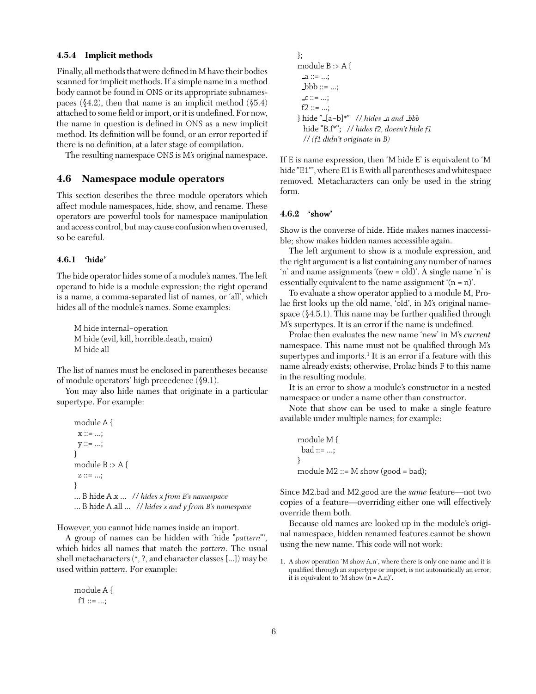#### **4.5.4 Implicit methods**

Finally, all methods that were defined in M have their bodies scanned for implicit methods. If a simple name in a method body cannot be found in ONS or its appropriate subnamespaces ( $\S 4.2$ ), then that name is an implicit method ( $\S 5.4$ ) attached to some field or import, or it is undefined. For now, the name in question is defined in ONS as a new implicit method. Its definition will be found, or an error reported if there is no definition, at a later stage of compilation.

The resulting namespace ONS is M's original namespace.

#### **4.6 Namespace module operators**

This section describes the three module operators which affect module namespaces, hide, show, and rename. These operators are powerful tools for namespace manipulation and access control, but may cause confusion when overused, so be careful.

## **4.6.1 'hide'**

The hide operator hides some of a module's names. The left operand to hide is a module expression; the right operand is a name, a comma-separated list of names, or 'all', which hides all of the module's names. Some examples:

M hide internal−operation M hide (evil, kill, horrible.death, maim) M hide all

The list of names must be enclosed in parentheses because of module operators' high precedence (§9.1).

You may also hide names that originate in a particular supertype. For example:

```
module A {
 x ::= ...;y ::= ...;}
module B :> A {
 z ::= ...;}
... B hide A.x ... // hides x from B's namespace
... B hide A.all ... // hides x and y from B's namespace
```
However, you cannot hide names inside an import.

A group of names can be hidden with 'hide "*pattern*"', which hides all names that match the *pattern*. The usual shell metacharacters (\*, ?, and character classes [...]) may be used within *pattern*. For example:

```
module A {
 f1 ::= ...;
```

```
};
module B :> A {
 a ::= ...;\Deltabbb ::= ...;
 -c ::= ...;f2 ::= ...;
} hide " [a−b]*" // hides a and bbb
  hide "B.f*"; // hides f2, doesn't hide f1
  // (f1 didn't originate in B)
```
If E is name expression, then 'M hide E' is equivalent to 'M hide "E1"', where E1 is Ewith all parentheses and whitespace removed. Metacharacters can only be used in the string form.

#### **4.6.2 'show'**

Show is the converse of hide. Hide makes names inaccessible; show makes hidden names accessible again.

The left argument to show is a module expression, and the right argument is a list containing any number of names 'n' and name assignments '(new = old)'. A single name 'n' is essentially equivalent to the name assignment '(n = n)'.

To evaluate a show operator applied to a module M, Prolac first looks up the old name, 'old', in M's original namespace  $(\$4.5.1)$ . This name may be further qualified through M's supertypes. It is an error if the name is undefined.

Prolac then evaluates the new name 'new' in M's *current* namespace. This name must not be qualified through M's supertypes and imports.<sup>1</sup> It is an error if a feature with this name already exists; otherwise, Prolac binds F to this name in the resulting module.

It is an error to show a module's constructor in a nested namespace or under a name other than constructor.

Note that show can be used to make a single feature available under multiple names; for example:

```
module M {
 bad ::= ...;}
module M2 ::= M show (good = bad);
```
Since M2.bad and M2.good are the *same* feature—not two copies of a feature—overriding either one will effectively override them both.

Because old names are looked up in the module's original namespace, hidden renamed features cannot be shown using the new name. This code will not work:

1. A show operation 'M show A.n', where there is only one name and it is qualified through an supertype or import, is not automatically an error; it is equivalent to 'M show (n = A.n)'.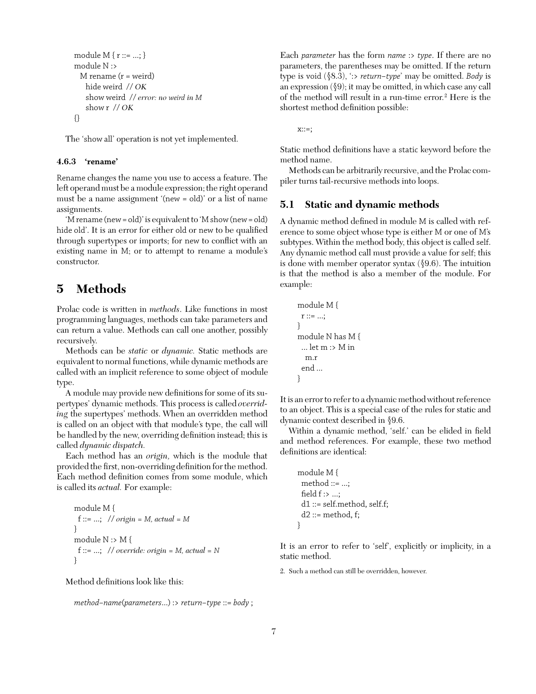```
module M { r ::= ...; }
module N :>
 M rename (r = weight)hide weird // OK
   show weird // error: no weird in M
   show r // OK
{}
```
The 'show all' operation is not yet implemented.

#### **4.6.3 'rename'**

Rename changes the name you use to access a feature. The left operand must be a module expression; the right operand must be a name assignment '(new = old)' or a list of name assignments.

'M rename (new = old)' is equivalent to 'M show (new = old) hide old'. It is an error for either old or new to be qualified through supertypes or imports; for new to conflict with an existing name in M; or to attempt to rename a module's constructor.

# **5 Methods**

Prolac code is written in *methods*. Like functions in most programming languages, methods can take parameters and can return a value. Methods can call one another, possibly recursively.

Methods can be *static* or *dynamic.* Static methods are equivalent to normal functions, while dynamic methods are called with an implicit reference to some object of module type.

A module may provide new definitions for some of its supertypes' dynamic methods. This process is called *overriding* the supertypes' methods. When an overridden method is called on an object with that module's type, the call will be handled by the new, overriding definition instead; this is called *dynamic dispatch.*

Each method has an *origin,* which is the module that provided the first, non-overridingdefinition for the method. Each method definition comes from some module, which is called its *actual.* For example:

```
module M {
 f ::= ...; // origin = M, actual = M
}
module N :> M {
 f ::= ...; // override: origin = M, actual = N
}
```
Method definitions look like this:

```
method−name(parameters...) :> return−type ::= body ;
```
Each *parameter* has the form *name* :> *type*. If there are no parameters, the parentheses may be omitted. If the return type is void (§8.3), ':> *return−type*' may be omitted. *Body* is an expression  $(\S 9)$ ; it may be omitted, in which case any call of the method will result in a run-time error.2 Here is the shortest method definition possible:

 $x::=$ ;

Static method definitions have a static keyword before the method name.

Methods can be arbitrarily recursive, and the Prolac compiler turns tail-recursive methods into loops.

## **5.1 Static and dynamic methods**

A dynamic method defined in module M is called with reference to some object whose type is either M or one of M's subtypes. Within the method body, this object is called self. Any dynamic method call must provide a value for self; this is done with member operator syntax (§9.6). The intuition is that the method is also a member of the module. For example:

```
module M {
 r ::= ...;}
module N has M {
 ... let m : > M in
  m.r
 end ...
}
```
It is an error to refer to a dynamic method without reference to an object. This is a special case of the rules for static and dynamic context described in §9.6.

Within a dynamic method, 'self.' can be elided in field and method references. For example, these two method definitions are identical:

```
module M {
 method ::= ...;
 field f : > ...;
 d1 ::= self.method, self.f;
 d2 ::= method, f;
}
```
It is an error to refer to 'self', explicitly or implicity, in a static method.

2. Such a method can still be overridden, however.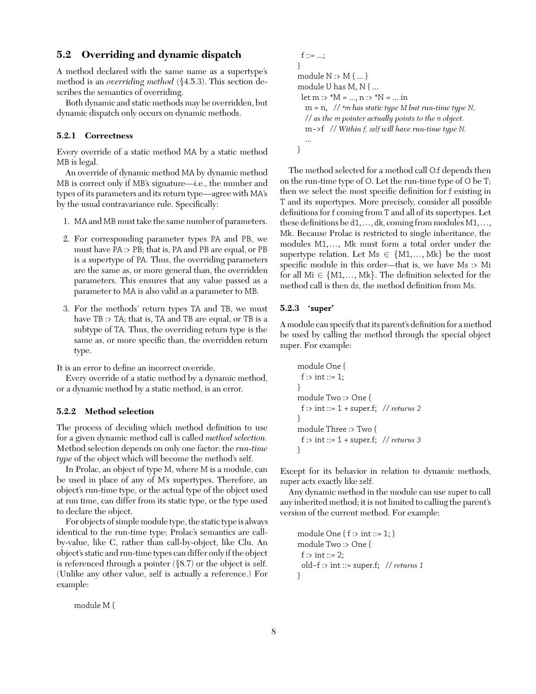# **5.2 Overriding and dynamic dispatch**

A method declared with the same name as a supertype's method is an *overriding method* (§4.5.3). This section describes the semantics of overriding.

Both dynamic and static methods may be overridden, but dynamic dispatch only occurs on dynamic methods.

#### **5.2.1 Correctness**

Every override of a static method MA by a static method MB is legal.

An override of dynamic method MA by dynamic method MB is correct only if MB's signature—i.e., the number and types of its parameters and its return type—agree with MA's by the usual contravariance rule. Specifically:

- 1. MA and MB must take the same number of parameters.
- 2. For corresponding parameter types PA and PB, we must have PA :> PB; that is, PA and PB are equal, or PB is a supertype of PA. Thus, the overriding parameters are the same as, or more general than, the overridden parameters. This ensures that any value passed as a parameter to MA is also valid as a parameter to MB.
- 3. For the methods' return types TA and TB, we must have TB :> TA; that is, TA and TB are equal, or TB is a subtype of TA. Thus, the overriding return type is the same as, or more specific than, the overridden return type.

It is an error to define an incorrect override.

Every override of a static method by a dynamic method, or a dynamic method by a static method, is an error.

#### **5.2.2 Method selection**

The process of deciding which method definition to use for a given dynamic method call is called *method selection.* Method selection depends on only one factor: the *run-time type* of the object which will become the method's self.

In Prolac, an object of type M, where M is a module, can be used in place of any of M's supertypes. Therefore, an object's run-time type, or the actual type of the object used at run time, can differ from its static type, or the type used to declare the object.

For objects of simple module type, the static type is always identical to the run-time type; Prolac's semantics are callby-value, like C, rather than call-by-object, like Clu. An object's static and run-time types can differ only if the object is referenced through a pointer (§8.7) or the object is self. (Unlike any other value, self is actually a reference.) For example:

module M {

```
f ::= ...;
}
module N :> M { ... }
module U has M, N { ...
 let m :> ^{\ast}M = ..., n :> ^{\ast}N = ... in
  m = n, // *m has static type M but run-time type N,
  // as the m pointer actually points to the n object.
  m−>f // Within f, self will have run-time type N.
   ...
}
```
The method selected for a method call O.f depends then on the run-time type of O. Let the run-time type of O be T; then we select the most specific definition for f existing in T and its supertypes. More precisely, consider all possible definitions for f coming from T and all of its supertypes. Let these definitions be d1,..., dk, coming from modules M1,..., Mk. Because Prolac is restricted to single inheritance, the modules M1,..., Mk must form a total order under the supertype relation. Let  $Ms \in \{M1, ..., Mk\}$  be the most specific module in this order—that is, we have Ms :> Mi for all  $Mi \in \{M1, \ldots, Mk\}$ . The definition selected for the method call is then ds, the method definition from Ms.

#### **5.2.3 'super'**

A module can specify that its parent's definition for a method be used by calling the method through the special object super. For example:

```
module One {
 f :> int ::= 1;
}
module Two :> One {
 f :> int ::= 1 + super.f; // returns 2
}
module Three :> Two {
 f :> int ::= 1 + super.f; // returns 3
}
```
Except for its behavior in relation to dynamic methods, super acts exactly like self.

Any dynamic method in the module can use super to call any inherited method; it is not limited to calling the parent's version of the current method. For example:

```
module One { f :> int ::= 1; }
module Two :> One {
 f :> int ::= 2;
 old−f :> int ::= super.f; // returns 1
}
```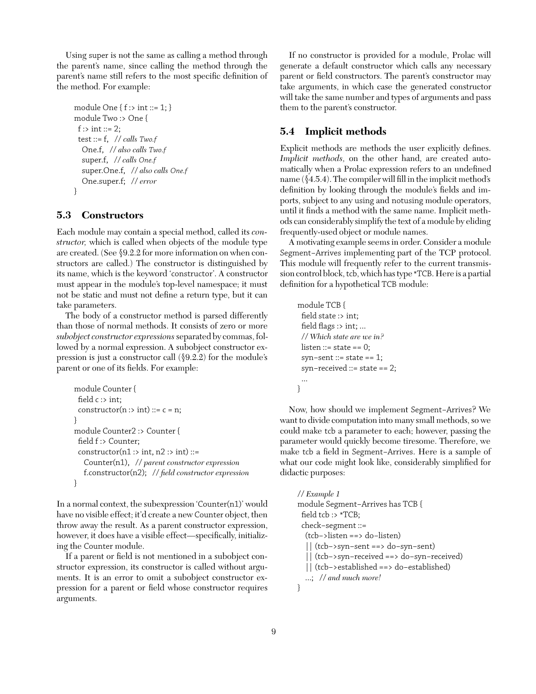Using super is not the same as calling a method through the parent's name, since calling the method through the parent's name still refers to the most specific definition of the method. For example:

```
module One \{ f : > int ::= 1; \}module Two :> One {
 f :> int ::= 2;
 test ::= f, // calls Two.f
  One.f, // also calls Two.f
  super.f, // calls One.f
  super.One.f, // also calls One.f
  One.super.f; // error
}
```
# **5.3 Constructors**

Each module may contain a special method, called its *constructor,* which is called when objects of the module type are created. (See §9.2.2 for more information on when constructors are called.) The constructor is distinguished by its name, which is the keyword 'constructor'. A constructor must appear in the module's top-level namespace; it must not be static and must not define a return type, but it can take parameters.

The body of a constructor method is parsed differently than those of normal methods. It consists of zero or more *subobject constructor expressions*separated by commas, followed by a normal expression. A subobject constructor expression is just a constructor call (§9.2.2) for the module's parent or one of its fields. For example:

```
module Counter {
 field c :> int;
 constructor(n : > int) ::= c = n;
}
module Counter2 :> Counter {
 field f :> Counter;
 constructor(n1 :> int, n2 :> int) ::=
   Counter(n1), // parent constructor expression
   f.constructor(n2); // field constructor expression
}
```
In a normal context, the subexpression 'Counter(n1)' would have no visible effect; it'd create a new Counter object, then throw away the result. As a parent constructor expression, however, it does have a visible effect—specifically, initializing the Counter module.

If a parent or field is not mentioned in a subobject constructor expression, its constructor is called without arguments. It is an error to omit a subobject constructor expression for a parent or field whose constructor requires arguments.

If no constructor is provided for a module, Prolac will generate a default constructor which calls any necessary parent or field constructors. The parent's constructor may take arguments, in which case the generated constructor will take the same number and types of arguments and pass them to the parent's constructor.

# **5.4 Implicit methods**

Explicit methods are methods the user explicitly defines. *Implicit methods,* on the other hand, are created automatically when a Prolac expression refers to an undefined name (§4.5.4). The compiler will fill in the implicit method's definition by looking through the module's fields and imports, subject to any using and notusing module operators, until it finds a method with the same name. Implicit methods can considerably simplify the text of a module by eliding frequently-used object or module names.

A motivating example seems in order. Consider a module Segment−Arrives implementing part of the TCP protocol. This module will frequently refer to the current transmission control block, tcb, which has type \*TCB. Here is a partial definition for a hypothetical TCB module:

```
module TCB {
 field state :> int;
 field flags : int; ...
 // Which state are we in?
 listen ::= state == 0;
 syn−sent ::= state == 1;
 syn−received ::= state == 2;
 ...
}
```
Now, how should we implement Segment−Arrives? We want to divide computation into many small methods, so we could make tcb a parameter to each; however, passing the parameter would quickly become tiresome. Therefore, we make tcb a field in Segment−Arrives. Here is a sample of what our code might look like, considerably simplified for didactic purposes:

```
// Example 1
module Segment−Arrives has TCB {
 field tcb :> *TCB;
 check−segment ::=
  (tcb−>listen ==> do−listen)
  || (tcb−>syn−sent ==> do−syn−sent)
  || (tcb−>syn−received ==> do−syn−received)
  || (tcb−>established ==> do−established)
  ...; // and much more!
}
```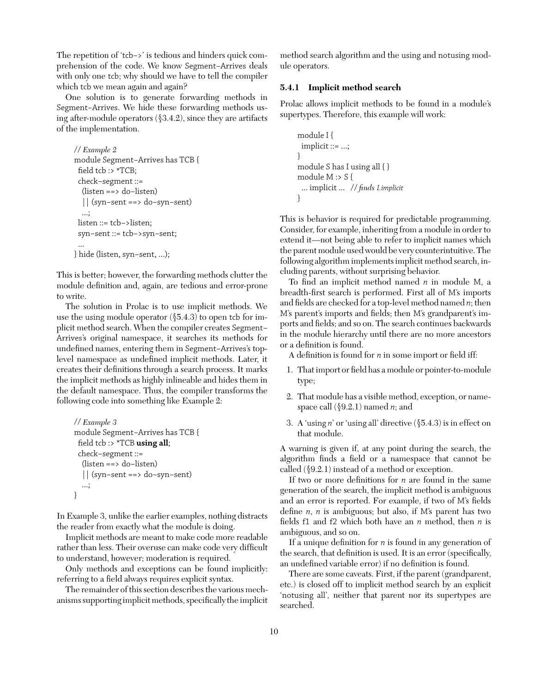The repetition of 'tcb−>' is tedious and hinders quick comprehension of the code. We know Segment−Arrives deals with only one tcb; why should we have to tell the compiler which tcb we mean again and again?

One solution is to generate forwarding methods in Segment−Arrives. We hide these forwarding methods using after-module operators  $(\$3.4.2)$ , since they are artifacts of the implementation.

```
// Example 2
module Segment−Arrives has TCB {
 field tcb :> *TCB;
 check−segment ::=
  (listen ==> do−listen)
  || (syn−sent ==> do−syn−sent)
  ...;
 listen ::= tcb−>listen;
 syn−sent ::= tcb−>syn−sent;
 ...
} hide (listen, syn−sent, ...);
```
This is better; however, the forwarding methods clutter the module definition and, again, are tedious and error-prone to write.

The solution in Prolac is to use implicit methods. We use the using module operator (§5.4.3) to open tcb for implicit method search. When the compiler creates Segment− Arrives's original namespace, it searches its methods for undefined names, entering them in Segment−Arrives's toplevel namespace as undefined implicit methods. Later, it creates their definitions through a search process. It marks the implicit methods as highly inlineable and hides them in the default namespace. Thus, the compiler transforms the following code into something like Example 2:

```
// Example 3
module Segment−Arrives has TCB {
 field tcb :> *TCB using all;
 check−segment ::=
  (listen ==> do−listen)
  || (syn−sent ==> do−syn−sent)
  ...;
}
```
In Example 3, unlike the earlier examples, nothing distracts the reader from exactly what the module is doing.

Implicit methods are meant to make code more readable rather than less. Their overuse can make code very difficult to understand, however; moderation is required.

Only methods and exceptions can be found implicitly: referring to a field always requires explicit syntax.

The remainder of this section describes the various mechanisms supporting implicit methods, specifically the implicit

method search algorithm and the using and notusing module operators.

#### **5.4.1 Implicit method search**

Prolac allows implicit methods to be found in a module's supertypes. Therefore, this example will work:

```
module I {
 implicit ::= ...;
}
module S has I using all { }
module M :> S {
 ... implicit ... // finds I.implicit
}
```
This is behavior is required for predictable programming. Consider, for example, inheriting from a module in order to extend it—not being able to refer to implicit names which the parent module used would be very counterintuitive.The following algorithm implements implicit method search, including parents, without surprising behavior.

To find an implicit method named *n* in module M, a breadth-first search is performed. First all of M's imports and fields are checked for a top-level method named *n*; then M's parent's imports and fields; then M's grandparent's imports and fields; and so on. The search continues backwards in the module hierarchy until there are no more ancestors or a definition is found.

A definition is found for *n* in some import or field iff:

- 1. That import or field has a module or pointer-to-module type;
- 2. That module has a visible method, exception, or namespace call (§9.2.1) named *n*; and
- 3. A 'using *n*' or 'using all' directive (§5.4.3) is in effect on that module.

A warning is given if, at any point during the search, the algorithm finds a field or a namespace that cannot be called  $(\$9.2.1)$  instead of a method or exception.

If two or more definitions for *n* are found in the same generation of the search, the implicit method is ambiguous and an error is reported. For example, if two of M's fields define *n*, *n* is ambiguous; but also, if M's parent has two fields f1 and f2 which both have an *n* method, then *n* is ambiguous, and so on.

If a unique definition for *n* is found in any generation of the search, that definition is used. It is an error (specifically, an undefined variable error) if no definition is found.

There are some caveats. First, if the parent (grandparent, etc.) is closed off to implicit method search by an explicit 'notusing all', neither that parent nor its supertypes are searched.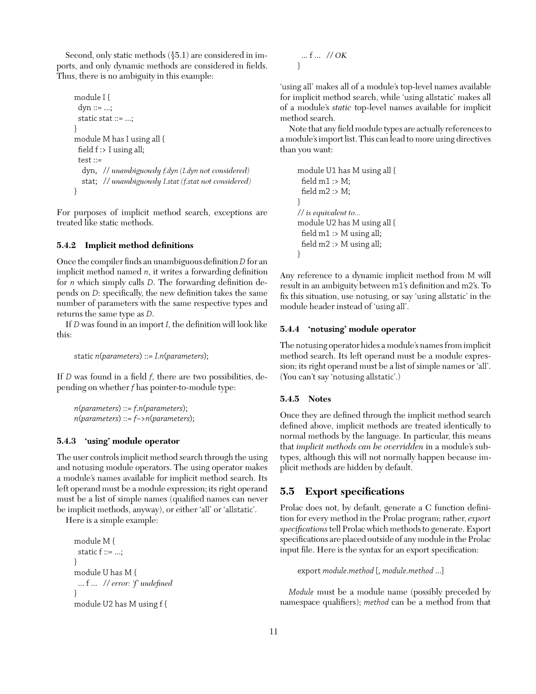Second, only static methods  $(\$5.1)$  are considered in imports, and only dynamic methods are considered in fields. Thus, there is no ambiguity in this example:

```
module I {
 dyn ::= ...;static stat ::= ...;
}
module M has I using all {
 field f :> I using all;
 test ::=
  dyn, // unambiguously f.dyn (I.dyn not considered)
  stat; // unambiguously I.stat (f.stat not considered)
}
```
For purposes of implicit method search, exceptions are treated like static methods.

## **5.4.2 Implicit method definitions**

Once the compiler finds an unambiguous definition*D* for an implicit method named *n*, it writes a forwarding definition for *n* which simply calls *D*. The forwarding definition depends on *D*: specifically, the new definition takes the same number of parameters with the same respective types and returns the same type as *D*.

If *D* was found in an import *I*, the definition will look like this:

static *n*(*parameters*) ::= *I*.*n*(*parameters*);

If *D* was found in a field *f*, there are two possibilities, depending on whether *f* has pointer-to-module type:

*n*(*parameters*) ::= *f*.*n*(*parameters*); *n*(*parameters*) ::= *f*−>*n*(*parameters*);

#### **5.4.3 'using' module operator**

The user controls implicit method search through the using and notusing module operators. The using operator makes a module's names available for implicit method search. Its left operand must be a module expression; its right operand must be a list of simple names (qualified names can never be implicit methods, anyway), or either 'all' or 'allstatic'.

Here is a simple example:

```
module M {
 static f ::= ...;}
module U has M {
... f ... // error: 'f' undefined
}
module U2 has M using f {
```
... f ... // *OK* }

'using all' makes all of a module's top-level names available for implicit method search, while 'using allstatic' makes all of a module's *static* top-level names available for implicit method search.

Note that any field module types are actually references to a module's import list. This can lead to more using directives than you want:

```
module U1 has M using all {
 field m1 :> M;
 field m2 :> M;
}
// is equivalent to...
module U2 has M using all {
 field m1 :> M using all;
 field m2 :> M using all;
}
```
Any reference to a dynamic implicit method from M will result in an ambiguity between m1's definition and m2's. To fix this situation, use notusing, or say 'using allstatic' in the module header instead of 'using all'.

#### **5.4.4 'notusing' module operator**

The notusing operator hides a module's names from implicit method search. Its left operand must be a module expression; its right operand must be a list of simple names or 'all'. (You can't say 'notusing allstatic'.)

#### **5.4.5 Notes**

Once they are defined through the implicit method search defined above, implicit methods are treated identically to normal methods by the language. In particular, this means that *implicit methods can be overridden* in a module's subtypes, although this will not normally happen because implicit methods are hidden by default.

# **5.5 Export specifications**

Prolac does not, by default, generate a C function definition for every method in the Prolac program; rather, *export specifications*tell Prolac which methods to generate. Export specifications are placed outside of any module in the Prolac input file. Here is the syntax for an export specification:

```
export module.method [, module.method ...]
```
*Module* must be a module name (possibly preceded by namespace qualifiers); *method* can be a method from that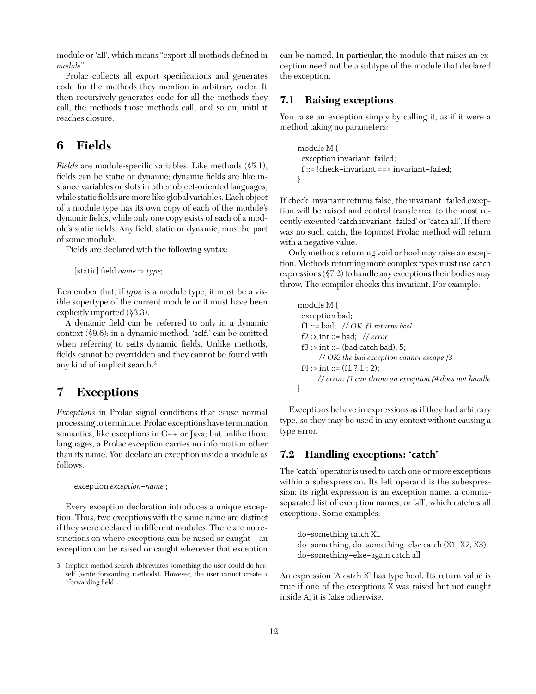module or 'all', which means "export all methods defined in *module*".

Prolac collects all export specifications and generates code for the methods they mention in arbitrary order. It then recursively generates code for all the methods they call, the methods those methods call, and so on, until it reaches closure.

# **6 Fields**

*Fields* are module-specific variables. Like methods (§5.1), fields can be static or dynamic; dynamic fields are like instance variables or slots in other object-oriented languages, while static fields are more like global variables. Each object of a module type has its own copy of each of the module's dynamic fields, while only one copy exists of each of a module's static fields. Any field, static or dynamic, must be part of some module.

Fields are declared with the following syntax:

[static] field *name* :> *type*;

Remember that, if *type* is a module type, it must be a visible supertype of the current module or it must have been explicitly imported (§3.3).

A dynamic field can be referred to only in a dynamic context (§9.6); in a dynamic method, 'self.' can be omitted when referring to self's dynamic fields. Unlike methods, fields cannot be overridden and they cannot be found with any kind of implicit search.3

# **7 Exceptions**

*Exceptions* in Prolac signal conditions that cause normal processing to terminate. Prolac exceptions have termination semantics, like exceptions in C++ or Java; but unlike those languages, a Prolac exception carries no information other than its name. You declare an exception inside a module as follows:

exception *exception−name* ;

Every exception declaration introduces a unique exception. Thus, two exceptions with the same name are distinct if they were declared in different modules. There are no restrictions on where exceptions can be raised or caught—an exception can be raised or caught wherever that exception can be named. In particular, the module that raises an exception need not be a subtype of the module that declared the exception.

# **7.1 Raising exceptions**

You raise an exception simply by calling it, as if it were a method taking no parameters:

```
module M {
 exception invariant−failed;
 f ::= !check−invariant ==> invariant−failed;
}
```
If check−invariant returns false, the invariant−failed exception will be raised and control transferred to the most recently executed 'catch invariant−failed' or 'catch all'. If there was no such catch, the topmost Prolac method will return with a negative value.

Only methods returning void or bool may raise an exception. Methods returning more complex types must use catch expressions (§7.2) to handle any exceptions their bodies may throw. The compiler checks this invariant. For example:

```
module M {
 exception bad;
 f1 ::= bad; // OK: f1 returns bool
 f2 :> int ::= bad; // error
 f3 :> int ::= (bad catch bad), 5;
      // OK: the bad exception cannot escape f3
 f4 :> int ::= (f1 ? 1 : 2);
      // error: f1 can throw an exception f4 does not handle
}
```
Exceptions behave in expressions as if they had arbitrary type, so they may be used in any context without causing a type error.

# **7.2 Handling exceptions: 'catch'**

The 'catch' operator is used to catch one or more exceptions within a subexpression. Its left operand is the subexpression; its right expression is an exception name, a commaseparated list of exception names, or 'all', which catches all exceptions. Some examples:

do−something catch X1 do−something, do−something−else catch (X1, X2, X3) do−something−else−again catch all

An expression 'A catch X' has type bool. Its return value is true if one of the exceptions X was raised but not caught inside A; it is false otherwise.

<sup>3.</sup> Implicit method search abbreviates something the user could do herself (write forwarding methods). However, the user cannot create a "forwarding field".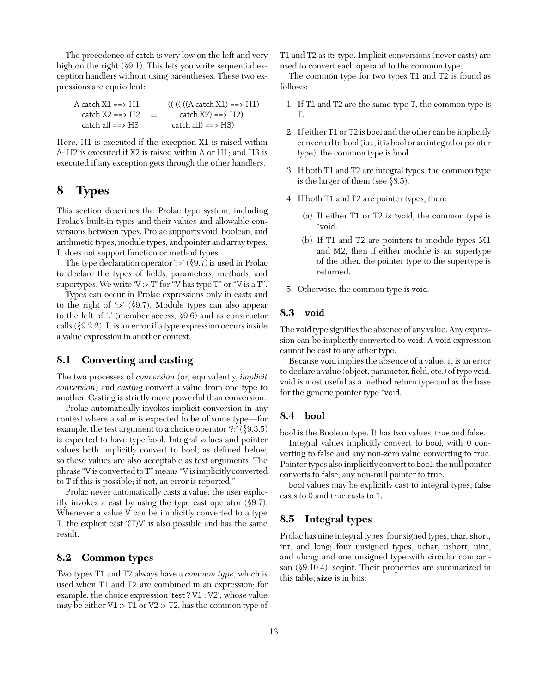The precedence of catch is very low on the left and very high on the right (§9.1). This lets you write sequential exception handlers without using parentheses. These two expressions are equivalent:

| A catch X1 ==> H1   |          | $(( ((((A catch X1) == H1))$ |
|---------------------|----------|------------------------------|
| catch $X2 == > H2$  | $\equiv$ | $\text{catch X2}) == > H2)$  |
| catch all $==$ > H3 |          | $catch all) == > H3)$        |

Here, H1 is executed if the exception X1 is raised within A; H2 is executed if X2 is raised within A or H1; and H3 is executed if any exception gets through the other handlers.

# **8 Types**

This section describes the Prolac type system, including Prolac's built-in types and their values and allowable conversions between types. Prolac supports void, boolean, and arithmetic types, module types, and pointer and array types. It does not support function or method types.

The type declaration operator ':>' (§9.7) is used in Prolac to declare the types of fields, parameters, methods, and supertypes. We write  $V \cdot > T'$  for "V has type  $T''$  or "V is a  $T''$ .

Types can occur in Prolac expressions only in casts and to the right of ':>' (§9.7). Module types can also appear to the left of '.' (member access, §9.6) and as constructor calls (§9.2.2). It is an error if a type expression occurs inside a value expression in another context.

## **8.1 Converting and casting**

The two processes of *conversion* (or, equivalently, *implicit conversion*) and *casting* convert a value from one type to another. Casting is strictly more powerful than conversion.

Prolac automatically invokes implicit conversion in any context where a value is expected to be of some type—for example, the test argument to a choice operator '?:' (§9.3.5) is expected to have type bool. Integral values and pointer values both implicitly convert to bool, as defined below, so these values are also acceptable as test arguments. The phrase "V is converted to T" means "V is implicitly converted to T if this is possible; if not, an error is reported."

Prolac never automatically casts a value; the user explicitly invokes a cast by using the type cast operator (§9.7). Whenever a value V can be implicitly converted to a type T, the explicit cast '(T)V' is also possible and has the same result.

# **8.2 Common types**

Two types T1 and T2 always have a *common type*, which is used when T1 and T2 are combined in an expression; for example, the choice expression 'test ? V1 : V2', whose value may be either V1 :> T1 or V2 :> T2, has the common type of T1 and T2 as its type. Implicit conversions (never casts) are used to convert each operand to the common type.

The common type for two types T1 and T2 is found as follows:

- 1. If T1 and T2 are the same type T, the common type is T.
- 2. If either T1 or T2 is bool and the other can be implicitly converted to bool(i.e., it is bool or an integral or pointer type), the common type is bool.
- 3. If both T1 and T2 are integral types, the common type is the larger of them (see §8.5).
- 4. If both T1 and T2 are pointer types, then:
	- (a) If either T1 or T2 is \*void, the common type is \*void.
	- (b) If T1 and T2 are pointers to module types M1 and M2, then if either module is an supertype of the other, the pointer type to the supertype is returned.
- 5. Otherwise, the common type is void.

# **8.3 void**

The void type signifies the absence of any value. Any expression can be implicitly converted to void. A void expression cannot be cast to any other type.

Because void implies the absence of a value, it is an error to declare a value (object, parameter, field, etc.) of type void. void is most useful as a method return type and as the base for the generic pointer type \*void.

## **8.4 bool**

bool is the Boolean type. It has two values, true and false.

Integral values implicitly convert to bool, with 0 converting to false and any non-zero value converting to true. Pointer types also implicitly convert to bool: the null pointer converts to false, any non-null pointer to true.

bool values may be explicitly cast to integral types; false casts to 0 and true casts to 1.

# **8.5 Integral types**

Prolac has nine integral types: four signed types, char, short, int, and long; four unsigned types, uchar, ushort, uint, and ulong; and one unsigned type with circular comparison (§9.10.4), seqint. Their properties are summarized in this table; **size** is in bits: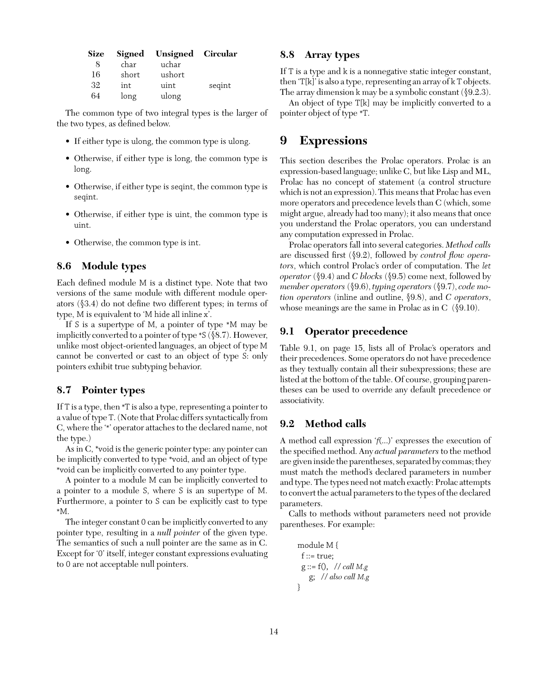| <b>Size</b> | Signed | Unsigned Circular |        |
|-------------|--------|-------------------|--------|
| 8           | char   | uchar             |        |
| 16          | short  | ushort            |        |
| 32          | int    | uint              | segint |
| 64          | long   | ulong             |        |

The common type of two integral types is the larger of the two types, as defined below.

- If either type is ulong, the common type is ulong.
- Otherwise, if either type is long, the common type is long.
- Otherwise, if either type is seqint, the common type is seqint.
- Otherwise, if either type is uint, the common type is uint.
- Otherwise, the common type is int.

# **8.6 Module types**

Each defined module M is a distinct type. Note that two versions of the same module with different module operators (§3.4) do not define two different types; in terms of type, M is equivalent to 'M hide all inline x'.

If S is a supertype of M, a pointer of type \*M may be implicitly converted to a pointer of type \*S (§8.7). However, unlike most object-oriented languages, an object of type M cannot be converted or cast to an object of type S: only pointers exhibit true subtyping behavior.

# **8.7 Pointer types**

If T is a type, then \*T is also a type, representing a pointer to a value of type T. (Note that Prolac differs syntactically from C, where the '\*' operator attaches to the declared name, not the type.)

As in C, \*void is the generic pointer type: any pointer can be implicitly converted to type \*void, and an object of type \*void can be implicitly converted to any pointer type.

A pointer to a module M can be implicitly converted to a pointer to a module S, where S is an supertype of M. Furthermore, a pointer to S can be explicitly cast to type \*M.

The integer constant 0 can be implicitly converted to any pointer type, resulting in a *null pointer* of the given type. The semantics of such a null pointer are the same as in C. Except for '0' itself, integer constant expressions evaluating to 0 are not acceptable null pointers.

# **8.8 Array types**

If T is a type and k is a nonnegative static integer constant, then 'T[k]' is also a type, representing an array of k T objects. The array dimension k may be a symbolic constant (§9.2.3).

An object of type T[k] may be implicitly converted to a pointer object of type \*T.

# **9 Expressions**

This section describes the Prolac operators. Prolac is an expression-based language; unlike C, but like Lisp and ML, Prolac has no concept of statement (a control structure which is not an expression). This means that Prolac has even more operators and precedence levels than C (which, some might argue, already had too many); it also means that once you understand the Prolac operators, you can understand any computation expressed in Prolac.

Prolac operators fall into several categories. *Method calls* are discussed first (§9.2), followed by *control flow operators*, which control Prolac's order of computation. The *let operator* (§9.4) and *C blocks* (§9.5) come next, followed by *member operators* (§9.6), *typing operators* (§9.7), *code motion operators* (inline and outline, §9.8), and *C operators*, whose meanings are the same in Prolac as in C  $(\$9.10)$ .

# **9.1 Operator precedence**

Table 9.1, on page 15, lists all of Prolac's operators and their precedences. Some operators do not have precedence as they textually contain all their subexpressions; these are listed at the bottom of the table. Of course, grouping parentheses can be used to override any default precedence or associativity.

# **9.2 Method calls**

A method call expression '*f*(...)' expresses the execution of the specified method. Any *actual parameters* to the method are given inside the parentheses, separated by commas; they must match the method's declared parameters in number and type. The types need not match exactly: Prolac attempts to convert the actual parameters to the types of the declared parameters.

Calls to methods without parameters need not provide parentheses. For example:

module M { f ::= true; g ::= f(), // *call M.g* g; // *also call M.g* }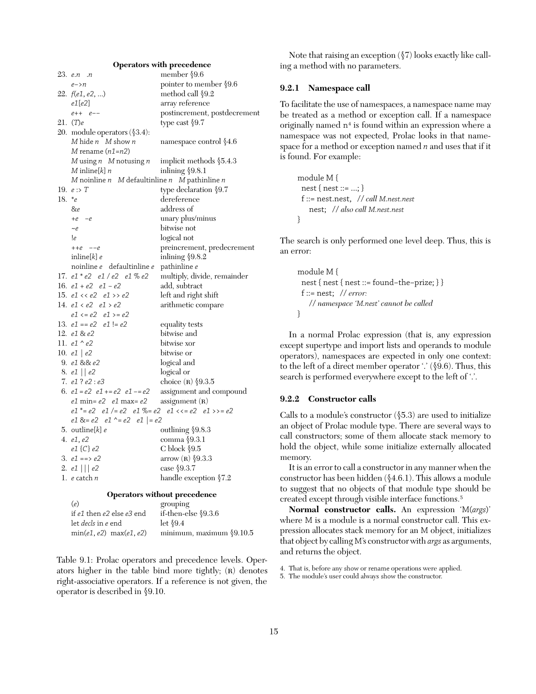# **Operators with precedence**

|           | 23. e.n .n                                                     | member $\S$ 9.6              |
|-----------|----------------------------------------------------------------|------------------------------|
|           | $e\rightarrow n$                                               | pointer to member §9.6       |
|           | 22. $f(e1, e2, )$                                              | method call §9.2             |
|           | e1[e2]                                                         | array reference              |
|           | $e_{++}$ $e_{--}$                                              | postincrement, postdecrement |
|           | 21. (T)e                                                       | type cast §9.7               |
|           | 20. module operators (§3.4):                                   |                              |
|           | M hide $n$ M show $n$                                          | namespace control \\\$4.6    |
|           | M rename $(n1=n2)$                                             |                              |
|           | $M$ using $n$ $M$ notusing $n$                                 | implicit methods $$5.4.3$    |
|           | $M$ inline[ $k$ ] $n$                                          | inlining $$9.8.1$            |
|           | M noinline $n$ M defaultinline $n$ M pathinline $n$            |                              |
|           | 19. $e: > T$                                                   | type declaration §9.7        |
| 18. $e^*$ |                                                                | dereference                  |
|           | &e                                                             | address of                   |
|           | $+e$ $-e$                                                      | unary plus/minus             |
|           | $\sim e$                                                       | bitwise not                  |
|           | !e                                                             | logical not                  |
|           | $++e$ $--e$                                                    | preincrement, predecrement   |
|           | inline[ $k$ ] $e$                                              | inlining $$9.8.2$            |
|           | noinline e defaultinline e                                     | pathinline e                 |
|           | 17. $e1 * e2 e1 / e2 e1 \% e2$                                 | multiply, divide, remainder  |
|           | 16. $e1 + e2 e1 - e2$                                          | add, subtract                |
|           | 15. $e1 \ll e2$ $e1 \gg e2$                                    | left and right shift         |
|           | 14. $e1 < e2$ $e1 > e2$                                        | arithmetic compare           |
|           | $e1 \le e2 \quad e1 \ge e2$                                    |                              |
|           | 13. $e1 == e2$ $e1 != e2$                                      | equality tests               |
|           | 12. e1 & e2                                                    | bitwise and                  |
|           | 11. $e1 \n^ e2$                                                | bitwise xor                  |
|           | 10. $e1   e2$                                                  | bitwise or                   |
|           | 9. e1 && e2                                                    | logical and                  |
|           | 8. $e1    e2$                                                  | logical or                   |
|           | 7. e1?e2:e3                                                    | choice $(R)$ §9.3.5          |
|           | 6. $e1 = e2$ $e1 += e2$ $e1 - = e2$                            | assignment and compound      |
|           | <i>e1</i> min= <i>e2   e1</i> max= <i>e2</i>                   | assignment(R)                |
|           | $e1^* = e2$ $e1 / = e2$ $e1 \% = e2$ $e1 << = e2$ $e1 >> = e2$ |                              |
|           | $e1 8 = e2$ $e1^e = e2$ $e1 = e2$                              |                              |
|           | 5. outline $[k]$ e                                             | outlining §9.8.3             |
|           | 4. e1, e2                                                      | comma §9.3.1                 |
|           | $e1$ {C} $e2$                                                  | C block $\S 9.5$             |
|           | 3. e1 ==> e2                                                   | arrow $(R)$ §9.3.3           |
|           | 2. $e1    e2$                                                  | case §9.3.7                  |
|           | 1. <i>e</i> catch <i>n</i>                                     | handle exception §7.2        |
|           |                                                                | Operators without precedence |
|           | (e)                                                            | grouping                     |
|           |                                                                |                              |

| if-then-else $\S$ 9.3.6    |
|----------------------------|
|                            |
| minimum, maximum $$9.10.5$ |
|                            |

Table 9.1: Prolac operators and precedence levels. Operators higher in the table bind more tightly;  $(R)$  denotes right-associative operators. If a reference is not given, the operator is described in §9.10.

Note that raising an exception  $(\S7)$  looks exactly like calling a method with no parameters.

## **9.2.1 Namespace call**

To facilitate the use of namespaces, a namespace name may be treated as a method or exception call. If a namespace originally named  $n<sup>4</sup>$  is found within an expression where a namespace was not expected, Prolac looks in that namespace for a method or exception named *n* and uses that if it is found. For example:

```
module M {
 nest { nest ::= ...; }
 f ::= nest.nest, // call M.nest.nest
    nest; // also call M.nest.nest
}
```
The search is only performed one level deep. Thus, this is an error:

```
module M {
 nest { nest { nest ::= found−the−prize; } }
 f ::= nest; // error:
   // namespace 'M.nest' cannot be called
}
```
In a normal Prolac expression (that is, any expression except supertype and import lists and operands to module operators), namespaces are expected in only one context: to the left of a direct member operator '.' (§9.6). Thus, this search is performed everywhere except to the left of '.'.

## **9.2.2 Constructor calls**

Calls to a module's constructor  $(\$5.3)$  are used to initialize an object of Prolac module type. There are several ways to call constructors; some of them allocate stack memory to hold the object, while some initialize externally allocated memory.

It is an error to call a constructor in any manner when the constructor has been hidden (§4.6.1). This allows a module to suggest that no objects of that module type should be created except through visible interface functions.5

**Normal constructor calls.** An expression 'M(*args*)' where M is a module is a normal constructor call. This expression allocates stack memory for an M object, initializes that object by calling M's constructor with *args* as arguments, and returns the object.

<sup>4.</sup> That is, before any show or rename operations were applied.

<sup>5.</sup> The module's user could always show the constructor.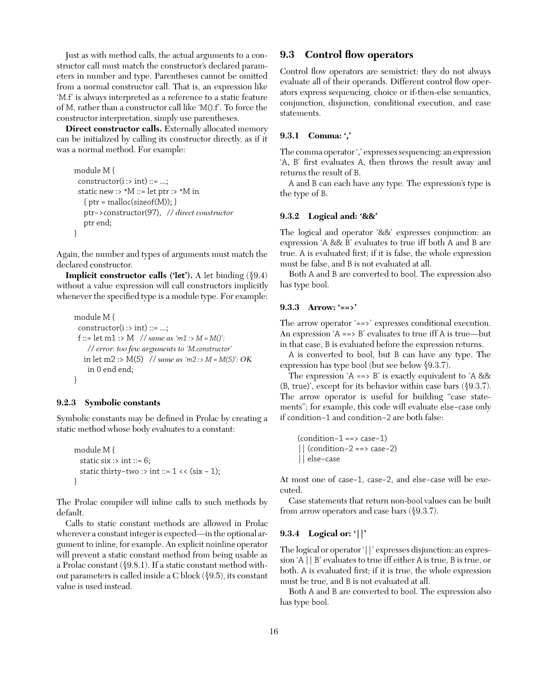Just as with method calls, the actual arguments to a constructor call must match the constructor's declared parameters in number and type. Parentheses cannot be omitted from a normal constructor call. That is, an expression like 'M.f' is always interpreted as a reference to a static feature of M, rather than a constructor call like 'M().f'. To force the constructor interpretation, simply use parentheses.

**Direct constructor calls.** Externally allocated memory can be initialized by calling its constructor directly, as if it was a normal method. For example:

```
module M {
 constructor(i : > int) ::= ...;static new :> *M ::= let ptr :> *M in
   \{ptr = \text{malloc}(sizeof(M));\}ptr−>constructor(97), // direct constructor
   ptr end;
}
```
Again, the number and types of arguments must match the declared constructor.

**Implicit constructor calls ('let').** A let binding (§9.4) without a value expression will call constructors implicitly whenever the specified type is a module type. For example:

```
module M {
 constructor(i :> int) ::= ...;
 f ::= let m1 :> M // same as 'm1 :> M = M()':
    // error: too few arguments to 'M.constructor'
   in let m2 :> M(5) // same as 'm2 :> M = M(5)': OK
    in 0 end end;
}
```
#### **9.2.3 Symbolic constants**

Symbolic constants may be defined in Prolac by creating a static method whose body evaluates to a constant:

```
module M {
  static six \cdot int \cdot = 6;
  static thirty-two :> int ::= 1 \lt \lt (six - 1);
}
```
The Prolac compiler will inline calls to such methods by default.

Calls to static constant methods are allowed in Prolac wherever a constant integer is expected—in the optional argument to inline, for example. An explicit noinline operator will prevent a static constant method from being usable as a Prolac constant (§9.8.1). If a static constant method without parameters is called inside a C block (§9.5), its constant value is used instead.

#### **9.3 Control flow operators**

Control flow operators are semistrict: they do not always evaluate all of their operands. Different control flow operators express sequencing, choice or if-then-else semantics, conjunction, disjunction, conditional execution, and case statements.

#### **9.3.1 Comma: ','**

The comma operator ',' expresses sequencing: an expression 'A, B' first evaluates A, then throws the result away and returns the result of B.

A and B can each have any type. The expression's type is the type of B.

#### **9.3.2 Logical and: '&&'**

The logical and operator '&&' expresses conjunction: an expression 'A && B' evaluates to true iff both A and B are true. A is evaluated first; if it is false, the whole expression must be false, and B is not evaluated at all.

Both A and B are converted to bool. The expression also has type bool.

#### **9.3.3 Arrow: '==>'**

The arrow operator '==>' expresses conditional execution. An expression  $A \equiv B$ ' evaluates to true iff A is true—but in that case, B is evaluated before the expression returns.

A is converted to bool, but B can have any type. The expression has type bool (but see below §9.3.7).

The expression  $A \implies B'$  is exactly equivalent to  $A \&\&$ (B, true)', except for its behavior within case bars (§9.3.7). The arrow operator is useful for building "case statements"; for example, this code will evaluate else−case only if condition−1 and condition−2 are both false:

```
(condition−1 ==> case−1)
 || (condition−2 ==> case−2)
|| else−case
```
At most one of case−1, case−2, and else−case will be executed.

Case statements that return non-bool values can be built from arrow operators and case bars (§9.3.7).

## **9.3.4 Logical or: '||'**

The logical or operator '||' expresses disjunction: an expression 'A || B' evaluates to true iff either A is true, B is true, or both. A is evaluated first; if it is true, the whole expression must be true, and B is not evaluated at all.

Both A and B are converted to bool. The expression also has type bool.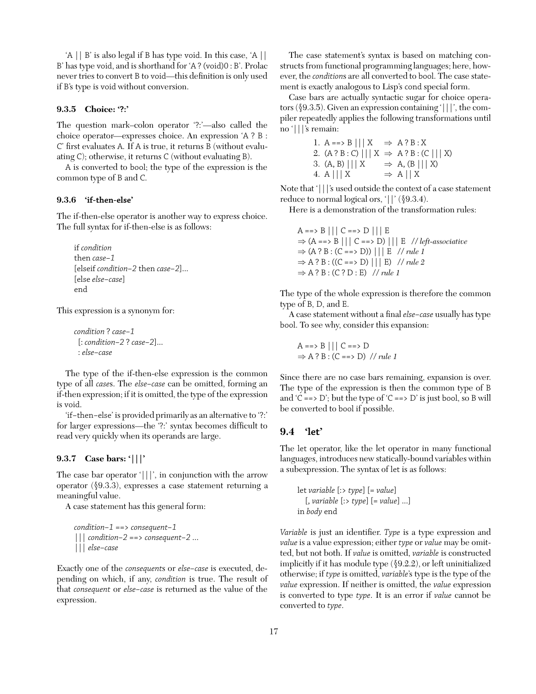'A || B' is also legal if B has type void. In this case, 'A || B' has type void, and is shorthand for 'A ? (void)0 : B'. Prolac never tries to convert B to void—this definition is only used if B's type is void without conversion.

#### **9.3.5 Choice: '?:'**

The question mark–colon operator '?:'—also called the choice operator—expresses choice. An expression 'A?B: C' first evaluates A. If A is true, it returns B (without evaluating C); otherwise, it returns C (without evaluating B).

A is converted to bool; the type of the expression is the common type of B and C.

#### **9.3.6 'if-then-else'**

The if-then-else operator is another way to express choice. The full syntax for if-then-else is as follows:

if *condition* then *case−1* [elseif *condition−2* then *case−2*]... [else *else−case*] end

This expression is a synonym for:

*condition* ? *case−1* [: *condition−2* ? *case−2*]... : *else−case*

The type of the if-then-else expression is the common type of all *case*s. The *else−case* can be omitted, forming an if-then expression; if it is omitted, the type of the expression is void.

'if−then−else' is provided primarily as an alternative to '?:' for larger expressions—the '?:' syntax becomes difficult to read very quickly when its operands are large.

## **9.3.7 Case bars: '|||'**

The case bar operator '|||', in conjunction with the arrow operator (§9.3.3), expresses a case statement returning a meaningful value.

A case statement has this general form:

```
condition−1 ==> consequent−1
||| condition−2 ==> consequent−2 ...
||| else−case
```
Exactly one of the *consequent*s or *else−case* is executed, depending on which, if any, *condition* is true. The result of that *consequent* or *else−case* is returned as the value of the expression.

The case statement's syntax is based on matching constructs from functional programming languages; here, however, the *condition*s are all converted to bool. The case statement is exactly analogous to Lisp's cond special form.

Case bars are actually syntactic sugar for choice operators (§9.3.5). Given an expression containing '|||', the compiler repeatedly applies the following transformations until no '|||'s remain:

> 1. A ==> B  $|||X \Rightarrow A?B:X$ 2.  $(A ? B : C) || X \Rightarrow A ? B : (C || X)$ 3.  $(A, B) \mid \mid \mid X \implies A, (B \mid \mid \mid X)$ 4. A  $|||X \implies A||X$

Note that '|||'s used outside the context of a case statement reduce to normal logical ors, '||' (§9.3.4).

Here is a demonstration of the transformation rules:

 $A \implies B \mid \mid \mid C \implies D \mid \mid \mid E$ ⇒ (A ==> B ||| C ==> D) ||| E // *left-associative*  $\Rightarrow$  (A ? B : (C = = > D)) ||| E // *rule 1*  $\Rightarrow$  A ? B : ((C = = > D) ||| E) // *rule 2*  $\Rightarrow$  A ? B : (C ? D : E) // *rule 1* 

The type of the whole expression is therefore the common type of B, D, and E.

A case statement without a final*else−case* usually has type bool. To see why, consider this expansion:

$$
A ==> B ||| C ==> D
$$
  
\n
$$
\Rightarrow A ? B : (C ==> D) // rule I
$$

Since there are no case bars remaining, expansion is over. The type of the expression is then the common type of B and 'C ==> D'; but the type of 'C ==> D' is just bool, so B will be converted to bool if possible.

## **9.4 'let'**

The let operator, like the let operator in many functional languages, introduces new statically-bound variables within a subexpression. The syntax of let is as follows:

```
let variable [:> type] [= value]
  [, variable [:> type] [= value] ...]
in body end
```
*Variable* is just an identifier. *Type* is a type expression and *value* is a value expression; either *type* or *value* may be omitted, but not both. If *value* is omitted, *variable* is constructed implicitly if it has module type (§9.2.2), or left uninitialized otherwise; if *type* is omitted, *variable*'s type is the type of the *value* expression. If neither is omitted, the *value* expression is converted to type *type*. It is an error if *value* cannot be converted to *type*.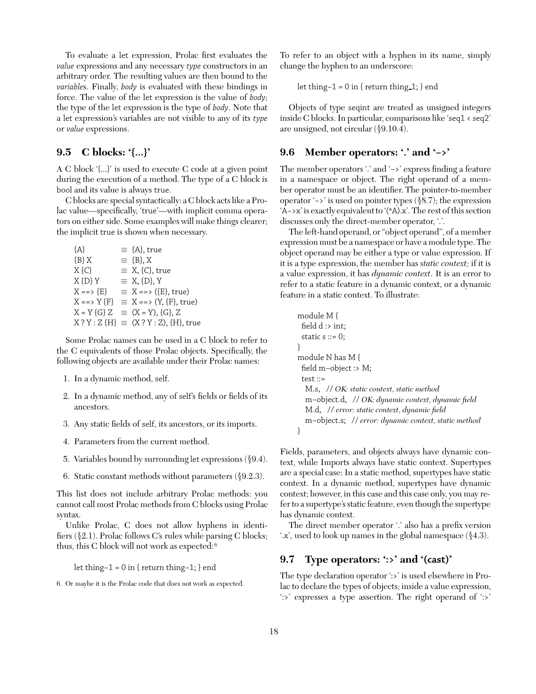To evaluate a let expression, Prolac first evaluates the *value* expressions and any necessary *type* constructors in an arbitrary order. The resulting values are then bound to the *variable*s. Finally, *body* is evaluated with these bindings in force. The value of the let expression is the value of *body*; the type of the let expression is the type of *body*. Note that a let expression's variables are not visible to any of its *type* or *value* expressions.

# **9.5 C blocks: '{...}'**

A C block '{...}' is used to execute C code at a given point during the execution of a method. The type of a C block is bool and its value is always true.

C blocks are special syntactically: a C block acts like a Prolac value—specifically, 'true'—with implicit comma operators on either side. Some examples will make things clearer; the implicit true is shown when necessary.

| ${A}$           | $\equiv$ {A}, true                                      |
|-----------------|---------------------------------------------------------|
| ${B}X$          | $\equiv \{B\}, X$                                       |
| $X\{C\}$        | $\equiv$ X, {C}, true                                   |
| $X\{D\}Y$       | $\equiv$ X, {D}, Y                                      |
| $X == > {E}$    | $\equiv$ X ==> ({E}, true)                              |
|                 | $X \implies Y \{F\} \equiv X \implies (Y, \{F\}, true)$ |
| $X = Y \{G\} Z$ | $\equiv$ (X = Y), {G}, Z                                |
|                 | $X ? Y : Z {H} \equiv (X ? Y : Z), {H}, true$           |

Some Prolac names can be used in a C block to refer to the C equivalents of those Prolac objects. Specifically, the following objects are available under their Prolac names:

- 1. In a dynamic method, self.
- 2. In a dynamic method, any of self's fields or fields of its ancestors.
- 3. Any static fields of self, its ancestors, or its imports.
- 4. Parameters from the current method.
- 5. Variables bound by surrounding let expressions (§9.4).
- 6. Static constant methods without parameters (§9.2.3).

This list does not include arbitrary Prolac methods: you cannot call most Prolac methods from C blocks using Prolac syntax.

Unlike Prolac, C does not allow hyphens in identifiers  $(\S 2.1)$ . Prolac follows C's rules while parsing C blocks; thus, this C block will not work as expected: <sup>6</sup>

let thing−1 = 0 in { return thing−1; } end

6. Or maybe it is the Prolac code that does not work as expected.

To refer to an object with a hyphen in its name, simply change the hyphen to an underscore:

let thing−1 = 0 in { return thing 1; } end

Objects of type seqint are treated as unsigned integers inside C blocks. In particular, comparisons like 'seq1 < seq2' are unsigned, not circular (§9.10.4).

# **9.6 Member operators: '.' and '−>'**

The member operators '.' and '->' express finding a feature in a namespace or object. The right operand of a member operator must be an identifier. The pointer-to-member operator '−>' is used on pointer types (§8.7); the expression 'A−>x' is exactly equivalent to '(\*A).x'. The rest of this section discusses only the direct-member operator, '.'.

The left-hand operand, or "object operand", of a member expression must be a namespace or have a module type. The object operand may be either a type or value expression. If it is a type expression, the member has *static context;* if it is a value expression, it has *dynamic context*. It is an error to refer to a static feature in a dynamic context, or a dynamic feature in a static context. To illustrate:

| module M {                                           |
|------------------------------------------------------|
| field $d$ :> int;                                    |
| static $s ::= 0$ ;                                   |
|                                                      |
| module N has M {                                     |
| field m-object :> M;                                 |
| test $::=$                                           |
| M.s, // OK: static context, static method            |
| m-object.d, // OK: dynamic context, dynamic field    |
| M.d, // error: static context, dynamic field         |
| m-object.s; // error: dynamic context, static method |
|                                                      |

Fields, parameters, and objects always have dynamic context, while Imports always have static context. Supertypes are a special case: In a static method, supertypes have static context. In a dynamic method, supertypes have dynamic context; however, in this case and this case only, you may refer to a supertype's static feature, even though the supertype has dynamic context.

The direct member operator '.' also has a prefix version '.x', used to look up names in the global namespace (§4.3).

# **9.7 Type operators: ':>' and '(cast)'**

The type declaration operator ':>' is used elsewhere in Prolac to declare the types of objects; inside a value expression, ':>' expresses a type assertion. The right operand of ':>'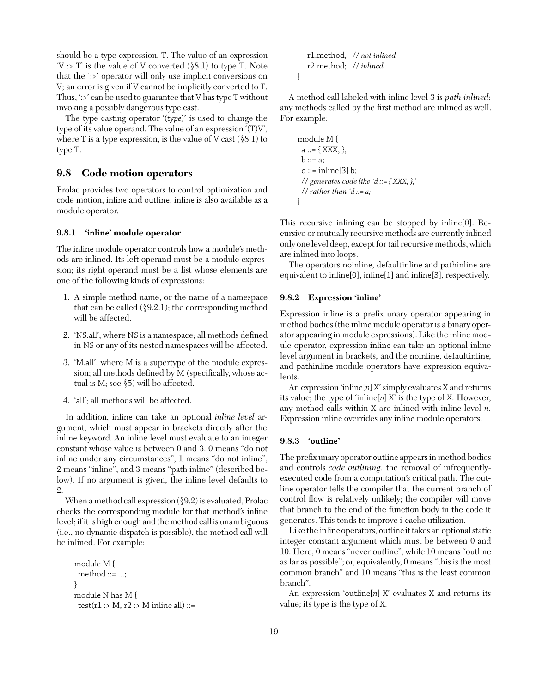should be a type expression, T. The value of an expression  $V \gg T$  is the value of V converted  $(\$8.1)$  to type T. Note that the ':>' operator will only use implicit conversions on V; an error is given if V cannot be implicitly converted to T. Thus, ':>' can be used to guarantee that V has type T without invoking a possibly dangerous type cast.

The type casting operator '(*type*)' is used to change the type of its value operand. The value of an expression '(T)V', where T is a type expression, is the value of V cast  $(\$8.1)$  to type T.

# **9.8 Code motion operators**

Prolac provides two operators to control optimization and code motion, inline and outline. inline is also available as a module operator.

#### **9.8.1 'inline' module operator**

The inline module operator controls how a module's methods are inlined. Its left operand must be a module expression; its right operand must be a list whose elements are one of the following kinds of expressions:

- 1. A simple method name, or the name of a namespace that can be called (§9.2.1); the corresponding method will be affected.
- 2. 'NS.all', where NS is a namespace; all methods defined in NS or any of its nested namespaces will be affected.
- 3. 'M.all', where M is a supertype of the module expression; all methods defined by M (specifically, whose actual is M; see §5) will be affected.
- 4. 'all'; all methods will be affected.

In addition, inline can take an optional *inline level* argument, which must appear in brackets directly after the inline keyword. An inline level must evaluate to an integer constant whose value is between 0 and 3. 0 means "do not inline under any circumstances", 1 means "do not inline", 2 means "inline", and 3 means "path inline" (described below). If no argument is given, the inline level defaults to 2.

When a method call expression (§9.2) is evaluated, Prolac checks the corresponding module for that method's inline level; if it is high enough and the method call is unambiguous (i.e., no dynamic dispatch is possible), the method call will be inlined. For example:

```
module M {
 method ::= ...;
}
module N has M {
 test(r1 :> M, r2 :> M inline all) ::=
```

```
r1.method, // not inlined
r2.method; // inlined
```
}

A method call labeled with inline level 3 is *path inlined*: any methods called by the first method are inlined as well. For example:

```
module M {
 a ::= \{ XXX; \};b ::= a;d ::= inline[3] b;
 // generates code like 'd ::= { XXX; };'
 // rather than 'd ::= a;'
}
```
This recursive inlining can be stopped by inline[0]. Recursive or mutually recursive methods are currently inlined only one level deep, except for tail recursive methods, which are inlined into loops.

The operators noinline, defaultinline and pathinline are equivalent to inline[0], inline[1] and inline[3], respectively.

#### **9.8.2 Expression 'inline'**

Expression inline is a prefix unary operator appearing in method bodies (the inline module operator is a binary operator appearing in module expressions). Like the inline module operator, expression inline can take an optional inline level argument in brackets, and the noinline, defaultinline, and pathinline module operators have expression equivalents.

An expression 'inline[*n*] X' simply evaluates X and returns its value; the type of 'inline[*n*] X' is the type of X. However, any method calls within X are inlined with inline level *n*. Expression inline overrides any inline module operators.

#### **9.8.3 'outline'**

The prefix unary operator outline appears in method bodies and controls *code outlining,* the removal of infrequentlyexecuted code from a computation's critical path. The outline operator tells the compiler that the current branch of control flow is relatively unlikely; the compiler will move that branch to the end of the function body in the code it generates. This tends to improve i-cache utilization.

Like the inline operators, outline it takes an optional static integer constant argument which must be between 0 and 10. Here, 0 means "never outline", while 10 means "outline as far as possible"; or, equivalently, 0 means "this is the most common branch" and 10 means "this is the least common branch".

An expression 'outline[*n*] X' evaluates X and returns its value; its type is the type of X.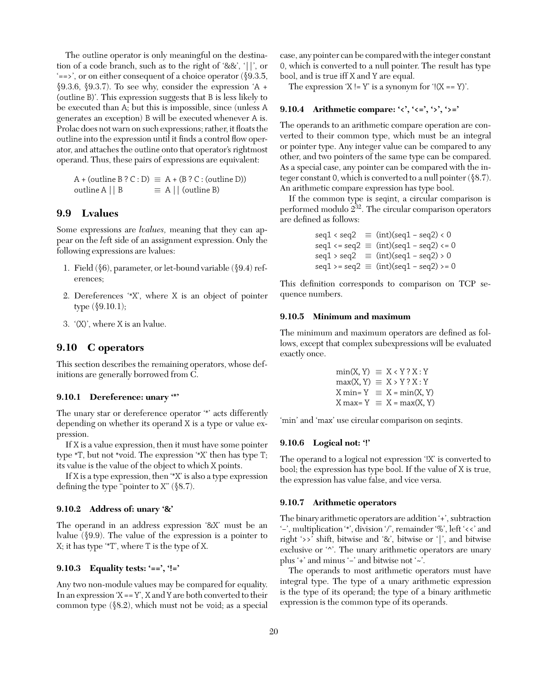The outline operator is only meaningful on the destination of a code branch, such as to the right of '&&', '||', or '==>', or on either consequent of a choice operator (§9.3.5,  $$9.3.6, $9.3.7$ . To see why, consider the expression  $A +$ (outline B)'. This expression suggests that B is less likely to be executed than A; but this is impossible, since (unless A generates an exception) B will be executed whenever A is. Prolac does not warn on such expressions; rather, it floats the outline into the expression until it finds a control flow operator, and attaches the outline onto that operator's rightmost operand. Thus, these pairs of expressions are equivalent:

 $A + (outline B ? C : D) \equiv A + (B ? C : (outline D))$ outline A  $|| B \equiv A ||$  (outline B)

# **9.9 Lvalues**

Some expressions are *lvalues,* meaning that they can appear on the *l*eft side of an assignment expression. Only the following expressions are lvalues:

- 1. Field (§6), parameter, or let-bound variable (§9.4) references;
- 2. Dereferences '\*X', where X is an object of pointer type (§9.10.1);
- 3. '(X)', where X is an lvalue.

## **9.10 C operators**

This section describes the remaining operators, whose definitions are generally borrowed from C.

#### **9.10.1 Dereference: unary '\*'**

The unary star or dereference operator '\*' acts differently depending on whether its operand X is a type or value expression.

If X is a value expression, then it must have some pointer type \*T, but not \*void. The expression '\*X' then has type T; its value is the value of the object to which X points.

If X is a type expression, then '\*X' is also a type expression defining the type "pointer to X" (§8.7).

#### **9.10.2 Address of: unary '&'**

The operand in an address expression '&X' must be an lvalue (§9.9). The value of the expression is a pointer to X; it has type '\*T', where T is the type of X.

#### **9.10.3 Equality tests: '==', '!='**

Any two non-module values may be compared for equality. In an expression  $X = Y$ ,  $X$  and  $Y$  are both converted to their common type (§8.2), which must not be void; as a special

case, any pointer can be compared with the integer constant 0, which is converted to a null pointer. The result has type bool, and is true iff X and Y are equal.

The expression  $X = Y'$  is a synonym for  $!(X == Y)'$ .

#### **9.10.4 Arithmetic compare: '<', '<=', '>', '>='**

The operands to an arithmetic compare operation are converted to their common type, which must be an integral or pointer type. Any integer value can be compared to any other, and two pointers of the same type can be compared. As a special case, any pointer can be compared with the integer constant 0, which is converted to a null pointer (§8.7). An arithmetic compare expression has type bool.

If the common type is seqint, a circular comparison is performed modulo 232. The circular comparison operators are defined as follows:

$$
seq1 < seq2 \equiv (int)(seq1 - seq2) < 0
$$
\n
$$
seq1 <= seq2 \equiv (int)(seq1 - seq2) <= 0
$$
\n
$$
seq1 > seq2 \equiv (int)(seq1 - seq2) > 0
$$
\n
$$
seq1 >= seq2 \equiv (int)(seq1 - seq2) >= 0
$$

This definition corresponds to comparison on TCP sequence numbers.

#### **9.10.5 Minimum and maximum**

The minimum and maximum operators are defined as follows, except that complex subexpressions will be evaluated exactly once.

$$
min(X, Y) \equiv X \times Y ? X : Y
$$

$$
max(X, Y) \equiv X > Y ? X : Y
$$

$$
X min = Y \equiv X = min(X, Y)
$$

$$
X max = Y \equiv X = max(X, Y)
$$

'min' and 'max' use circular comparison on seqints.

# **9.10.6 Logical not: '!'**

The operand to a logical not expression '!X' is converted to bool; the expression has type bool. If the value of X is true, the expression has value false, and vice versa.

#### **9.10.7 Arithmetic operators**

The binary arithmetic operators are addition '+', subtraction '−', multiplication '\*', division '/', remainder '%', left '<<' and right '>>' shift, bitwise and '&', bitwise or '|', and bitwise exclusive or '^'. The unary arithmetic operators are unary plus '+' and minus '−' and bitwise not '~'.

The operands to most arithmetic operators must have integral type. The type of a unary arithmetic expression is the type of its operand; the type of a binary arithmetic expression is the common type of its operands.